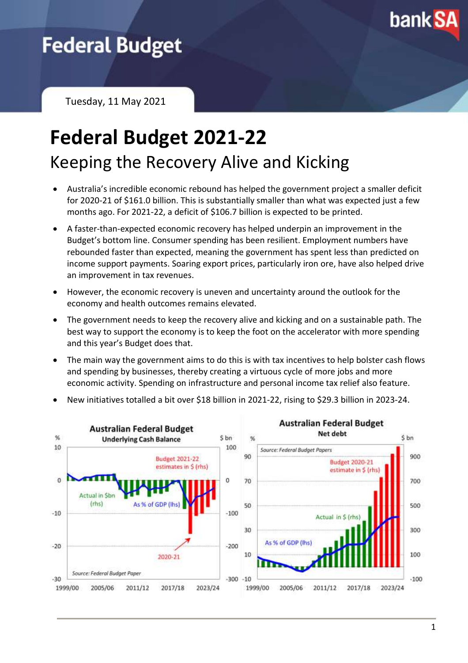

# **Federal Budget**

Tuesday, 11 May 2021

# **Federal Budget 2021-22** Keeping the Recovery Alive and Kicking

- Australia's incredible economic rebound has helped the government project a smaller deficit for 2020-21 of \$161.0 billion. This is substantially smaller than what was expected just a few months ago. For 2021-22, a deficit of \$106.7 billion is expected to be printed.
- A faster-than-expected economic recovery has helped underpin an improvement in the Budget's bottom line. Consumer spending has been resilient. Employment numbers have rebounded faster than expected, meaning the government has spent less than predicted on income support payments. Soaring export prices, particularly iron ore, have also helped drive an improvement in tax revenues.
- However, the economic recovery is uneven and uncertainty around the outlook for the economy and health outcomes remains elevated.
- The government needs to keep the recovery alive and kicking and on a sustainable path. The best way to support the economy is to keep the foot on the accelerator with more spending and this year's Budget does that.
- The main way the government aims to do this is with tax incentives to help bolster cash flows and spending by businesses, thereby creating a virtuous cycle of more jobs and more economic activity. Spending on infrastructure and personal income tax relief also feature.



• New initiatives totalled a bit over \$18 billion in 2021-22, rising to \$29.3 billion in 2023-24.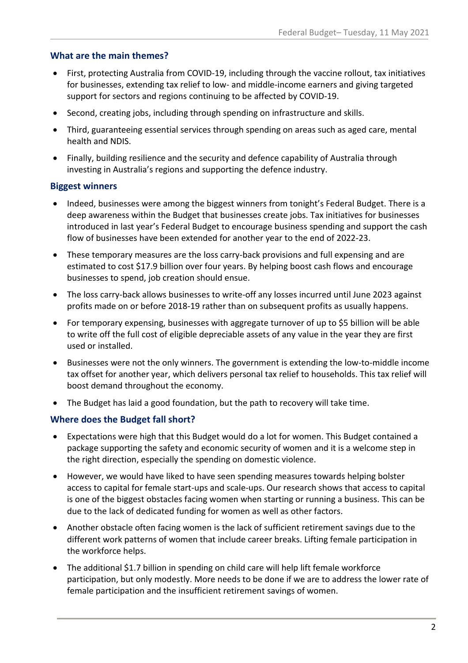## **What are the main themes?**

- First, protecting Australia from COVID-19, including through the vaccine rollout, tax initiatives for businesses, extending tax relief to low- and middle-income earners and giving targeted support for sectors and regions continuing to be affected by COVID-19.
- Second, creating jobs, including through spending on infrastructure and skills.
- Third, guaranteeing essential services through spending on areas such as aged care, mental health and NDIS.
- Finally, building resilience and the security and defence capability of Australia through investing in Australia's regions and supporting the defence industry.

#### **Biggest winners**

- Indeed, businesses were among the biggest winners from tonight's Federal Budget. There is a deep awareness within the Budget that businesses create jobs. Tax initiatives for businesses introduced in last year's Federal Budget to encourage business spending and support the cash flow of businesses have been extended for another year to the end of 2022-23.
- These temporary measures are the loss carry-back provisions and full expensing and are estimated to cost \$17.9 billion over four years. By helping boost cash flows and encourage businesses to spend, job creation should ensue.
- The loss carry-back allows businesses to write-off any losses incurred until June 2023 against profits made on or before 2018-19 rather than on subsequent profits as usually happens.
- For temporary expensing, businesses with aggregate turnover of up to \$5 billion will be able to write off the full cost of eligible depreciable assets of any value in the year they are first used or installed.
- Businesses were not the only winners. The government is extending the low-to-middle income tax offset for another year, which delivers personal tax relief to households. This tax relief will boost demand throughout the economy.
- The Budget has laid a good foundation, but the path to recovery will take time.

# **Where does the Budget fall short?**

- Expectations were high that this Budget would do a lot for women. This Budget contained a package supporting the safety and economic security of women and it is a welcome step in the right direction, especially the spending on domestic violence.
- However, we would have liked to have seen spending measures towards helping bolster access to capital for female start-ups and scale-ups. Our research shows that access to capital is one of the biggest obstacles facing women when starting or running a business. This can be due to the lack of dedicated funding for women as well as other factors.
- Another obstacle often facing women is the lack of sufficient retirement savings due to the different work patterns of women that include career breaks. Lifting female participation in the workforce helps.
- The additional \$1.7 billion in spending on child care will help lift female workforce participation, but only modestly. More needs to be done if we are to address the lower rate of female participation and the insufficient retirement savings of women.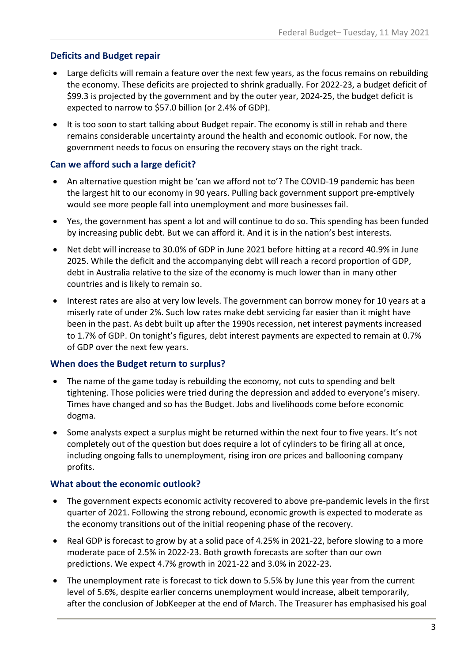# **Deficits and Budget repair**

- Large deficits will remain a feature over the next few years, as the focus remains on rebuilding the economy. These deficits are projected to shrink gradually. For 2022-23, a budget deficit of \$99.3 is projected by the government and by the outer year, 2024-25, the budget deficit is expected to narrow to \$57.0 billion (or 2.4% of GDP).
- It is too soon to start talking about Budget repair. The economy is still in rehab and there remains considerable uncertainty around the health and economic outlook. For now, the government needs to focus on ensuring the recovery stays on the right track.

# **Can we afford such a large deficit?**

- An alternative question might be 'can we afford not to'? The COVID-19 pandemic has been the largest hit to our economy in 90 years. Pulling back government support pre-emptively would see more people fall into unemployment and more businesses fail.
- Yes, the government has spent a lot and will continue to do so. This spending has been funded by increasing public debt. But we can afford it. And it is in the nation's best interests.
- Net debt will increase to 30.0% of GDP in June 2021 before hitting at a record 40.9% in June 2025. While the deficit and the accompanying debt will reach a record proportion of GDP, debt in Australia relative to the size of the economy is much lower than in many other countries and is likely to remain so.
- Interest rates are also at very low levels. The government can borrow money for 10 years at a miserly rate of under 2%. Such low rates make debt servicing far easier than it might have been in the past. As debt built up after the 1990s recession, net interest payments increased to 1.7% of GDP. On tonight's figures, debt interest payments are expected to remain at 0.7% of GDP over the next few years.

# **When does the Budget return to surplus?**

- The name of the game today is rebuilding the economy, not cuts to spending and belt tightening. Those policies were tried during the depression and added to everyone's misery. Times have changed and so has the Budget. Jobs and livelihoods come before economic dogma.
- Some analysts expect a surplus might be returned within the next four to five years. It's not completely out of the question but does require a lot of cylinders to be firing all at once, including ongoing falls to unemployment, rising iron ore prices and ballooning company profits.

# **What about the economic outlook?**

- The government expects economic activity recovered to above pre-pandemic levels in the first quarter of 2021. Following the strong rebound, economic growth is expected to moderate as the economy transitions out of the initial reopening phase of the recovery.
- Real GDP is forecast to grow by at a solid pace of 4.25% in 2021-22, before slowing to a more moderate pace of 2.5% in 2022-23. Both growth forecasts are softer than our own predictions. We expect 4.7% growth in 2021-22 and 3.0% in 2022-23.
- The unemployment rate is forecast to tick down to 5.5% by June this year from the current level of 5.6%, despite earlier concerns unemployment would increase, albeit temporarily, after the conclusion of JobKeeper at the end of March. The Treasurer has emphasised his goal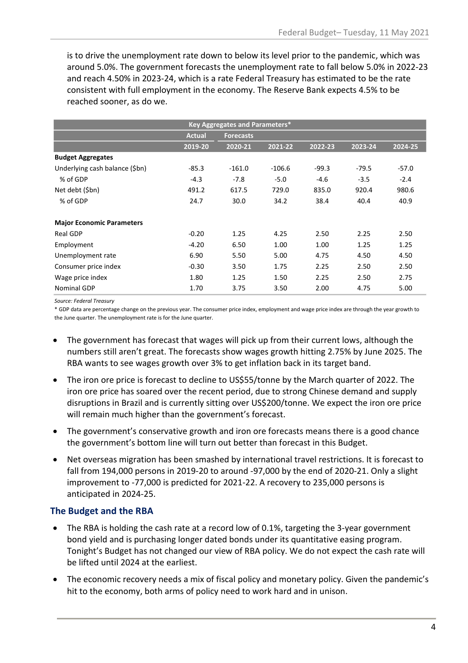is to drive the unemployment rate down to below its level prior to the pandemic, which was around 5.0%. The government forecasts the unemployment rate to fall below 5.0% in 2022-23 and reach 4.50% in 2023-24, which is a rate Federal Treasury has estimated to be the rate consistent with full employment in the economy. The Reserve Bank expects 4.5% to be reached sooner, as do we.

| Key Aggregates and Parameters*   |               |                  |          |         |         |         |
|----------------------------------|---------------|------------------|----------|---------|---------|---------|
|                                  | <b>Actual</b> | <b>Forecasts</b> |          |         |         |         |
|                                  | 2019-20       | 2020-21          | 2021-22  | 2022-23 | 2023-24 | 2024-25 |
| <b>Budget Aggregates</b>         |               |                  |          |         |         |         |
| Underlying cash balance (\$bn)   | $-85.3$       | $-161.0$         | $-106.6$ | $-99.3$ | $-79.5$ | $-57.0$ |
| % of GDP                         | $-4.3$        | $-7.8$           | $-5.0$   | $-4.6$  | $-3.5$  | $-2.4$  |
| Net debt (\$bn)                  | 491.2         | 617.5            | 729.0    | 835.0   | 920.4   | 980.6   |
| % of GDP                         | 24.7          | 30.0             | 34.2     | 38.4    | 40.4    | 40.9    |
| <b>Major Economic Parameters</b> |               |                  |          |         |         |         |
| Real GDP                         | $-0.20$       | 1.25             | 4.25     | 2.50    | 2.25    | 2.50    |
| Employment                       | $-4.20$       | 6.50             | 1.00     | 1.00    | 1.25    | 1.25    |
| Unemployment rate                | 6.90          | 5.50             | 5.00     | 4.75    | 4.50    | 4.50    |
| Consumer price index             | $-0.30$       | 3.50             | 1.75     | 2.25    | 2.50    | 2.50    |
| Wage price index                 | 1.80          | 1.25             | 1.50     | 2.25    | 2.50    | 2.75    |
| Nominal GDP                      | 1.70          | 3.75             | 3.50     | 2.00    | 4.75    | 5.00    |

*Source: Federal Treasury*

\* GDP data are percentage change on the previous year. The consumer price index, employment and wage price index are through the year growth to the June quarter. The unemployment rate is for the June quarter.

- The government has forecast that wages will pick up from their current lows, although the numbers still aren't great. The forecasts show wages growth hitting 2.75% by June 2025. The RBA wants to see wages growth over 3% to get inflation back in its target band.
- The iron ore price is forecast to decline to US\$55/tonne by the March quarter of 2022. The iron ore price has soared over the recent period, due to strong Chinese demand and supply disruptions in Brazil and is currently sitting over US\$200/tonne. We expect the iron ore price will remain much higher than the government's forecast.
- The government's conservative growth and iron ore forecasts means there is a good chance the government's bottom line will turn out better than forecast in this Budget.
- Net overseas migration has been smashed by international travel restrictions. It is forecast to fall from 194,000 persons in 2019-20 to around -97,000 by the end of 2020-21. Only a slight improvement to -77,000 is predicted for 2021-22. A recovery to 235,000 persons is anticipated in 2024-25.

# **The Budget and the RBA**

- The RBA is holding the cash rate at a record low of 0.1%, targeting the 3-year government bond yield and is purchasing longer dated bonds under its quantitative easing program. Tonight's Budget has not changed our view of RBA policy. We do not expect the cash rate will be lifted until 2024 at the earliest.
- The economic recovery needs a mix of fiscal policy and monetary policy. Given the pandemic's hit to the economy, both arms of policy need to work hard and in unison.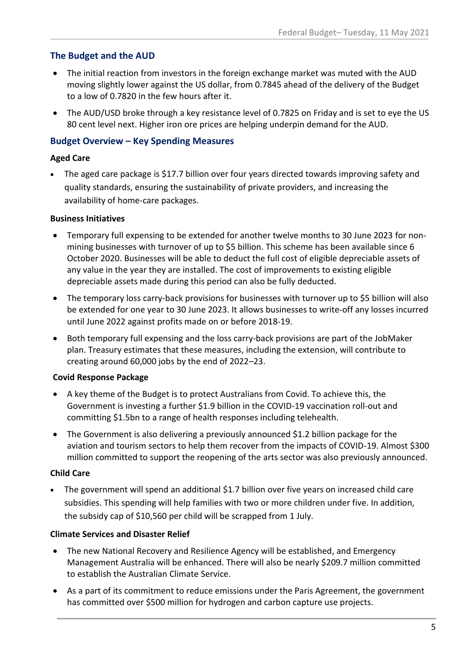# **The Budget and the AUD**

- The initial reaction from investors in the foreign exchange market was muted with the AUD moving slightly lower against the US dollar, from 0.7845 ahead of the delivery of the Budget to a low of 0.7820 in the few hours after it.
- The AUD/USD broke through a key resistance level of 0.7825 on Friday and is set to eye the US 80 cent level next. Higher iron ore prices are helping underpin demand for the AUD.

## **Budget Overview – Key Spending Measures**

#### **Aged Care**

• The aged care package is \$17.7 billion over four years directed towards improving safety and quality standards, ensuring the sustainability of private providers, and increasing the availability of home-care packages.

#### **Business Initiatives**

- Temporary full expensing to be extended for another twelve months to 30 June 2023 for nonmining businesses with turnover of up to \$5 billion. This scheme has been available since 6 October 2020. Businesses will be able to deduct the full cost of eligible depreciable assets of any value in the year they are installed. The cost of improvements to existing eligible depreciable assets made during this period can also be fully deducted.
- The temporary loss carry-back provisions for businesses with turnover up to \$5 billion will also be extended for one year to 30 June 2023. It allows businesses to write-off any losses incurred until June 2022 against profits made on or before 2018-19.
- Both temporary full expensing and the loss carry-back provisions are part of the JobMaker plan. Treasury estimates that these measures, including the extension, will contribute to creating around 60,000 jobs by the end of 2022–23.

#### **Covid Response Package**

- A key theme of the Budget is to protect Australians from Covid. To achieve this, the Government is investing a further \$1.9 billion in the COVID-19 vaccination roll-out and committing \$1.5bn to a range of health responses including telehealth.
- The Government is also delivering a previously announced \$1.2 billion package for the aviation and tourism sectors to help them recover from the impacts of COVID-19. Almost \$300 million committed to support the reopening of the arts sector was also previously announced.

#### **Child Care**

• The government will spend an additional \$1.7 billion over five years on increased child care subsidies. This spending will help families with two or more children under five. In addition, the subsidy cap of \$10,560 per child will be scrapped from 1 July.

#### **Climate Services and Disaster Relief**

- The new National Recovery and Resilience Agency will be established, and Emergency Management Australia will be enhanced. There will also be nearly \$209.7 million committed to establish the Australian Climate Service.
- As a part of its commitment to reduce emissions under the Paris Agreement, the government has committed over \$500 million for hydrogen and carbon capture use projects.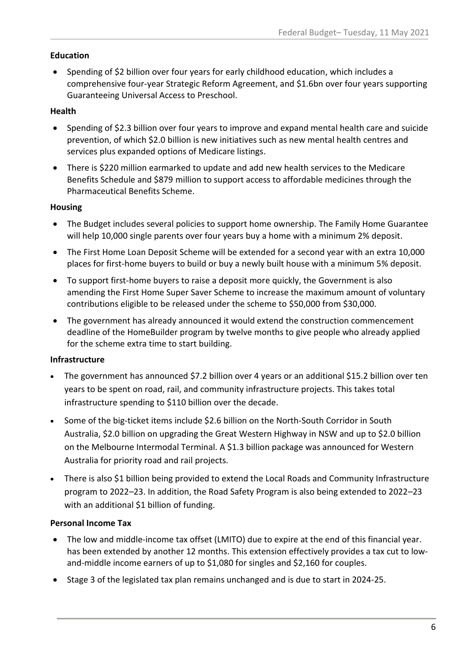#### **Education**

• Spending of \$2 billion over four years for early childhood education, which includes a comprehensive four-year Strategic Reform Agreement, and \$1.6bn over four years supporting Guaranteeing Universal Access to Preschool.

#### **Health**

- Spending of \$2.3 billion over four years to improve and expand mental health care and suicide prevention, of which \$2.0 billion is new initiatives such as new mental health centres and services plus expanded options of Medicare listings.
- There is \$220 million earmarked to update and add new health services to the Medicare Benefits Schedule and \$879 million to support access to affordable medicines through the Pharmaceutical Benefits Scheme.

#### **Housing**

- The Budget includes several policies to support home ownership. The Family Home Guarantee will help 10,000 single parents over four years buy a home with a minimum 2% deposit.
- The First Home Loan Deposit Scheme will be extended for a second year with an extra 10,000 places for first-home buyers to build or buy a newly built house with a minimum 5% deposit.
- To support first-home buyers to raise a deposit more quickly, the Government is also amending the First Home Super Saver Scheme to increase the maximum amount of voluntary contributions eligible to be released under the scheme to \$50,000 from \$30,000.
- The government has already announced it would extend the construction commencement deadline of the HomeBuilder program by twelve months to give people who already applied for the scheme extra time to start building.

# **Infrastructure**

- The government has announced \$7.2 billion over 4 years or an additional \$15.2 billion over ten years to be spent on road, rail, and community infrastructure projects. This takes total infrastructure spending to \$110 billion over the decade.
- Some of the big-ticket items include \$2.6 billion on the North-South Corridor in South Australia, \$2.0 billion on upgrading the Great Western Highway in NSW and up to \$2.0 billion on the Melbourne Intermodal Terminal. A \$1.3 billion package was announced for Western Australia for priority road and rail projects.
- There is also \$1 billion being provided to extend the Local Roads and Community Infrastructure program to 2022–23. In addition, the Road Safety Program is also being extended to 2022–23 with an additional \$1 billion of funding.

# **Personal Income Tax**

- The low and middle-income tax offset (LMITO) due to expire at the end of this financial year. has been extended by another 12 months. This extension effectively provides a tax cut to lowand-middle income earners of up to \$1,080 for singles and \$2,160 for couples.
- Stage 3 of the legislated tax plan remains unchanged and is due to start in 2024-25.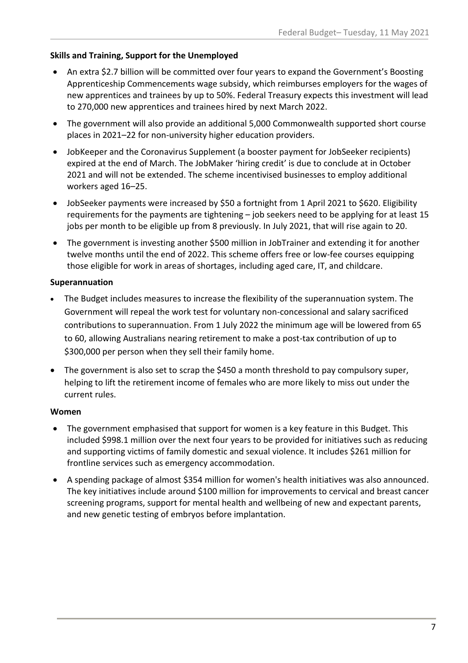## **Skills and Training, Support for the Unemployed**

- An extra \$2.7 billion will be committed over four years to expand the Government's Boosting Apprenticeship Commencements wage subsidy, which reimburses employers for the wages of new apprentices and trainees by up to 50%. Federal Treasury expects this investment will lead to 270,000 new apprentices and trainees hired by next March 2022.
- The government will also provide an additional 5,000 Commonwealth supported short course places in 2021–22 for non-university higher education providers.
- JobKeeper and the Coronavirus Supplement (a booster payment for JobSeeker recipients) expired at the end of March. The JobMaker 'hiring credit' is due to conclude at in October 2021 and will not be extended. The scheme incentivised businesses to employ additional workers aged 16–25.
- JobSeeker payments were increased by \$50 a fortnight from 1 April 2021 to \$620. Eligibility requirements for the payments are tightening – job seekers need to be applying for at least 15 jobs per month to be eligible up from 8 previously. In July 2021, that will rise again to 20.
- The government is investing another \$500 million in JobTrainer and extending it for another twelve months until the end of 2022. This scheme offers free or low-fee courses equipping those eligible for work in areas of shortages, including aged care, IT, and childcare.

#### **Superannuation**

- The Budget includes measures to increase the flexibility of the superannuation system. The Government will repeal the work test for voluntary non-concessional and salary sacrificed contributions to superannuation. From 1 July 2022 the minimum age will be lowered from 65 to 60, allowing Australians nearing retirement to make a post-tax contribution of up to \$300,000 per person when they sell their family home.
- The government is also set to scrap the \$450 a month threshold to pay compulsory super, helping to lift the retirement income of females who are more likely to miss out under the current rules.

# **Women**

- The government emphasised that support for women is a key feature in this Budget. This included \$998.1 million over the next four years to be provided for initiatives such as reducing and supporting victims of family domestic and sexual violence. It includes \$261 million for frontline services such as emergency accommodation.
- A spending package of almost \$354 million for women's health initiatives was also announced. The key initiatives include around \$100 million for improvements to cervical and breast cancer screening programs, support for mental health and wellbeing of new and expectant parents, and new genetic testing of embryos before implantation.